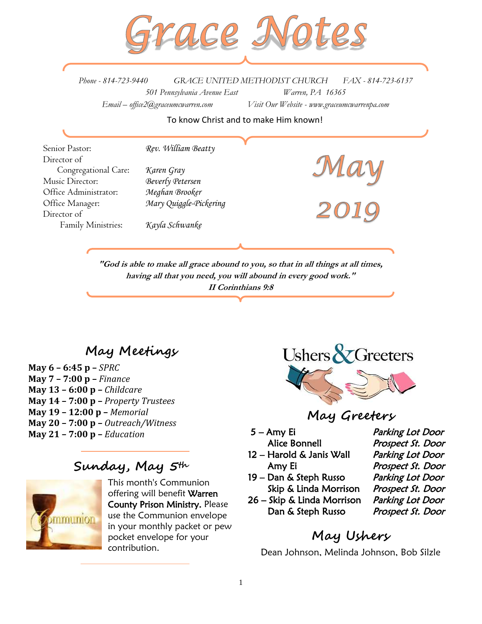

*Phone - 814-723-9440 GRACE UNITED METHODIST CHURCH FAX - 814-723-6137 501 Pennsylvania Avenue East Warren, PA 16365 Email – office2@graceumcwarren.com Visit Our Website - www.graceumcwarrenpa.com* 

To know Christ and to make Him known!

Senior Pastor: *Rev. William Beatty* Director of Congregational Care: *Karen Gray* Music Director: *Beverly Petersen* Office Administrator: *Meghan Brooker* Office Manager: *Mary Quiggle-Pickering* Director of Family Ministries: *Kayla Schwanke*

**"God is able to make all grace abound to you, so that in all things at all times, having all that you need, you will abound in every good work." II Corinthians 9:8**

# **May Meetings**

**May 6 – 6:45 p –** *SPRC* **May 7 – 7:00 p –** *Finance* **May 13 – 6:00 p –** *Childcare*  **May 14 – 7:00 p –** *Property Trustees* **May 19 – 12:00 p –** *Memorial*  **May 20 – 7:00 p –** *Outreach/Witness* **May 21 – 7:00 p –** *Education* 

## **Sunday, May 5th**



This month's Communion offering will benefit Warren County Prison Ministry. Please use the Communion envelope in your monthly packet or pew pocket envelope for your contribution.



**May Greeters**

- 5 Amy Ei Parking Lot Door
- 12 Harold & Janis Wall Parking Lot Door Amy Ei Prospect St. Door
- 19 Dan & Steph Russo Parking Lot Door Skip & Linda Morrison Prospect St. Door
- 26 Skip & Linda Morrison Parking Lot Door Dan & Steph Russo Prospect St. Door

Alice Bonnell Prospect St. Door

# **May Ushers**

Dean Johnson, Melinda Johnson, Bob Silzle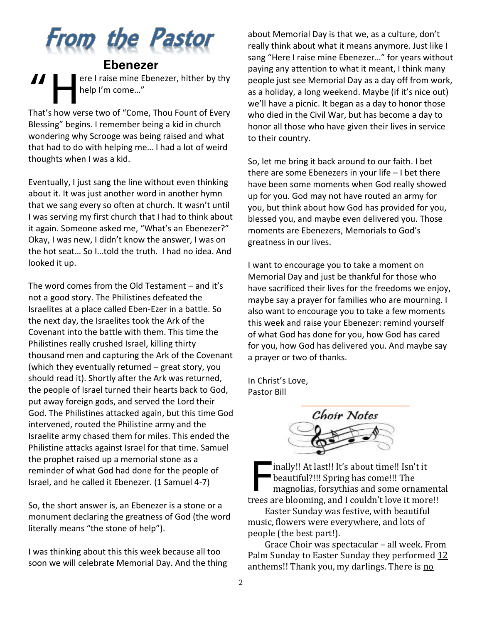

**Ebenezer** ere I raise mine Ebenezer, hither by thy help I'm come…" "H

That's how verse two of "Come, Thou Fount of Every Blessing" begins. I remember being a kid in church wondering why Scrooge was being raised and what that had to do with helping me… I had a lot of weird thoughts when I was a kid.

Eventually, I just sang the line without even thinking about it. It was just another word in another hymn that we sang every so often at church. It wasn't until I was serving my first church that I had to think about it again. Someone asked me, "What's an Ebenezer?" Okay, I was new, I didn't know the answer, I was on the hot seat… So I…told the truth. I had no idea. And looked it up.

The word comes from the Old Testament – and it's not a good story. The Philistines defeated the Israelites at a place called Eben-Ezer in a battle. So the next day, the Israelites took the Ark of the Covenant into the battle with them. This time the Philistines really crushed Israel, killing thirty thousand men and capturing the Ark of the Covenant (which they eventually returned – great story, you should read it). Shortly after the Ark was returned, the people of Israel turned their hearts back to God, put away foreign gods, and served the Lord their God. The Philistines attacked again, but this time God intervened, routed the Philistine army and the Israelite army chased them for miles. This ended the Philistine attacks against Israel for that time. Samuel the prophet raised up a memorial stone as a reminder of what God had done for the people of Israel, and he called it Ebenezer. (1 Samuel 4-7)

So, the short answer is, an Ebenezer is a stone or a monument declaring the greatness of God (the word literally means "the stone of help").

I was thinking about this this week because all too soon we will celebrate Memorial Day. And the thing about Memorial Day is that we, as a culture, don't really think about what it means anymore. Just like I sang "Here I raise mine Ebenezer…" for years without paying any attention to what it meant, I think many people just see Memorial Day as a day off from work, as a holiday, a long weekend. Maybe (if it's nice out) we'll have a picnic. It began as a day to honor those who died in the Civil War, but has become a day to honor all those who have given their lives in service to their country.

So, let me bring it back around to our faith. I bet there are some Ebenezers in your life – I bet there have been some moments when God really showed up for you. God may not have routed an army for you, but think about how God has provided for you, blessed you, and maybe even delivered you. Those moments are Ebenezers, Memorials to God's greatness in our lives.

I want to encourage you to take a moment on Memorial Day and just be thankful for those who have sacrificed their lives for the freedoms we enjoy, maybe say a prayer for families who are mourning. I also want to encourage you to take a few moments this week and raise your Ebenezer: remind yourself of what God has done for you, how God has cared for you, how God has delivered you. And maybe say a prayer or two of thanks.

In Christ's Love, Pastor Bill



inally!! At last!! It's about time!! Isn't it beautiful?!!! Spring has come!!! The magnolias, forsythias and some ornamental trees are blooming, and I couldn't love it more!! F

Easter Sunday was festive, with beautiful music, flowers were everywhere, and lots of people (the best part!).

Grace Choir was spectacular – all week. From Palm Sunday to Easter Sunday they performed 12 anthems!! Thank you, my darlings. There is no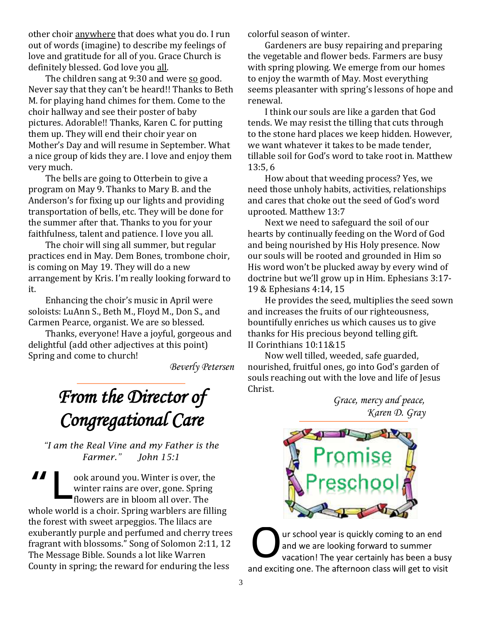other choir anywhere that does what you do. I run out of words (imagine) to describe my feelings of love and gratitude for all of you. Grace Church is definitely blessed. God love you all.

The children sang at 9:30 and were so good. Never say that they can't be heard!! Thanks to Beth M. for playing hand chimes for them. Come to the choir hallway and see their poster of baby pictures. Adorable!! Thanks, Karen C. for putting them up. They will end their choir year on Mother's Day and will resume in September. What a nice group of kids they are. I love and enjoy them very much.

The bells are going to Otterbein to give a program on May 9. Thanks to Mary B. and the Anderson's for fixing up our lights and providing transportation of bells, etc. They will be done for the summer after that. Thanks to you for your faithfulness, talent and patience. I love you all.

The choir will sing all summer, but regular practices end in May. Dem Bones, trombone choir, is coming on May 19. They will do a new arrangement by Kris. I'm really looking forward to it.

Enhancing the choir's music in April were soloists: LuAnn S., Beth M., Floyd M., Don S., and Carmen Pearce, organist. We are so blessed.

Thanks, everyone! Have a joyful, gorgeous and delightful (add other adjectives at this point) Spring and come to church!

*Beverly Petersen*

# *From the Director of Congregational Care*

*"I am the Real Vine and my Father is the Farmer." John 15:1*

ook around you. Winter is over, the winter rains are over, gone. Spring flowers are in bloom all over. The whole world is a choir. Spring warblers are filling the forest with sweet arpeggios. The lilacs are exuberantly purple and perfumed and cherry trees fragrant with blossoms." Song of Solomon 2:11, 12 The Message Bible. Sounds a lot like Warren County in spring; the reward for enduring the less "L

colorful season of winter.

Gardeners are busy repairing and preparing the vegetable and flower beds. Farmers are busy with spring plowing. We emerge from our homes to enjoy the warmth of May. Most everything seems pleasanter with spring's lessons of hope and renewal.

I think our souls are like a garden that God tends. We may resist the tilling that cuts through to the stone hard places we keep hidden. However, we want whatever it takes to be made tender, tillable soil for God's word to take root in. Matthew 13:5, 6

How about that weeding process? Yes, we need those unholy habits, activities, relationships and cares that choke out the seed of God's word uprooted. Matthew 13:7

Next we need to safeguard the soil of our hearts by continually feeding on the Word of God and being nourished by His Holy presence. Now our souls will be rooted and grounded in Him so His word won't be plucked away by every wind of doctrine but we'll grow up in Him. Ephesians 3:17- 19 & Ephesians 4:14, 15

He provides the seed, multiplies the seed sown and increases the fruits of our righteousness, bountifully enriches us which causes us to give thanks for His precious beyond telling gift. II Corinthians 10:11&15

Now well tilled, weeded, safe guarded, nourished, fruitful ones, go into God's garden of souls reaching out with the love and life of Jesus Christ.

*Grace, mercy and peace, Karen D. Gray*



ur school year is quickly coming to an end and we are looking forward to summer vacation! The year certainly has been a busy and exciting one. The afternoon class will get to visit O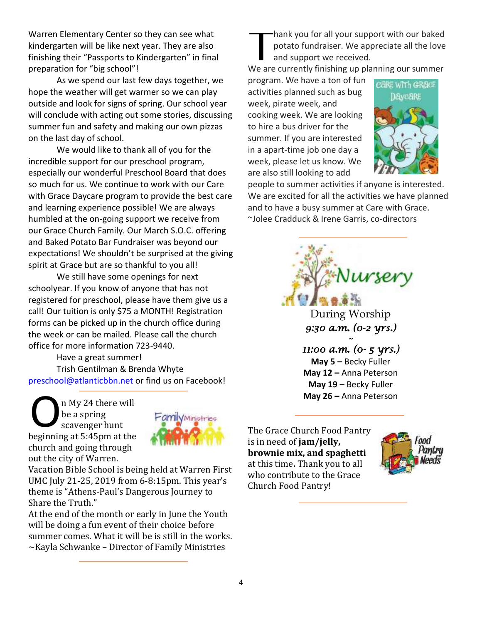Warren Elementary Center so they can see what kindergarten will be like next year. They are also finishing their "Passports to Kindergarten" in final preparation for "big school"!

As we spend our last few days together, we hope the weather will get warmer so we can play outside and look for signs of spring. Our school year will conclude with acting out some stories, discussing summer fun and safety and making our own pizzas on the last day of school.

We would like to thank all of you for the incredible support for our preschool program, especially our wonderful Preschool Board that does so much for us. We continue to work with our Care with Grace Daycare program to provide the best care and learning experience possible! We are always humbled at the on-going support we receive from our Grace Church Family. Our March S.O.C. offering and Baked Potato Bar Fundraiser was beyond our expectations! We shouldn't be surprised at the giving spirit at Grace but are so thankful to you all!

We still have some openings for next schoolyear. If you know of anyone that has not registered for preschool, please have them give us a call! Our tuition is only \$75 a MONTH! Registration forms can be picked up in the church office during the week or can be mailed. Please call the church office for more information 723-9440.

Have a great summer! Trish Gentilman & Brenda Whyte [preschool@atlanticbbn.net](mailto:preschool@atlanticbbn.net) or find us on Facebook!

n My 24 there will be a spring scavenger hunt beginning at 5:45pm at the church and going through out the city of Warren. O



Vacation Bible School is being held at Warren First UMC July 21-25, 2019 from 6-8:15pm. This year's theme is "Athens-Paul's Dangerous Journey to Share the Truth."

At the end of the month or early in June the Youth will be doing a fun event of their choice before summer comes. What it will be is still in the works.  $\sim$ Kayla Schwanke – Director of Family Ministries

hank you for all your support with our baked potato fundraiser. We appreciate all the love and support we received. **T** 

We are currently finishing up planning our summer

program. We have a ton of fun activities planned such as bug week, pirate week, and cooking week. We are looking to hire a bus driver for the summer. If you are interested in a apart-time job one day a week, please let us know. We are also still looking to add



people to summer activities if anyone is interested. We are excited for all the activities we have planned and to have a busy summer at Care with Grace. ~Jolee Cradduck & Irene Garris, co-directors



**May 5** *–* Becky Fuller **May 12 –** Anna Peterson **May 19 –** Becky Fuller **May 26 –** Anna Peterson

The Grace Church Food Pantry is in need of **jam/jelly, brownie mix, and spaghetti** at this time**.** Thank you to all who contribute to the Grace Church Food Pantry!

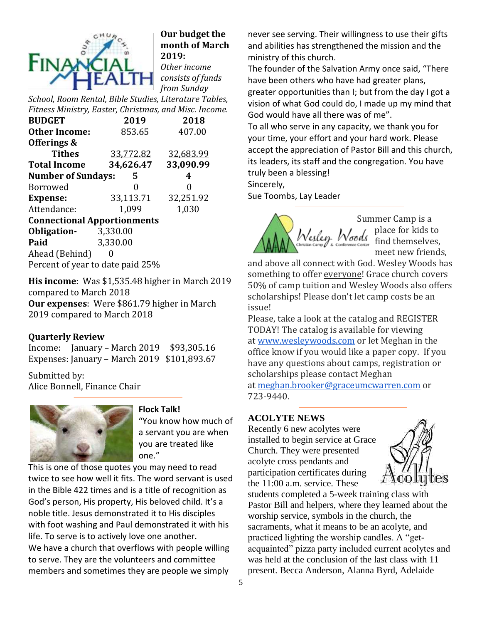

## **Our budget the month of March 2019:** *Other income*

*consists of funds from Sunday* 

*School, Room Rental, Bible Studies, Literature Tables, Fitness Ministry, Easter, Christmas, and Misc. Income.*

| <b>BUDGET</b>                      | 2019      | 2018      |  |  |  |  |  |  |
|------------------------------------|-----------|-----------|--|--|--|--|--|--|
| <b>Other Income:</b>               | 853.65    | 407.00    |  |  |  |  |  |  |
| Offerings &                        |           |           |  |  |  |  |  |  |
| <b>Tithes</b>                      | 33,772.82 | 32,683.99 |  |  |  |  |  |  |
| <b>Total Income</b>                | 34,626.47 | 33,090.99 |  |  |  |  |  |  |
| <b>Number of Sundays:</b>          | 5         | 4         |  |  |  |  |  |  |
| <b>Borrowed</b>                    |           | 0         |  |  |  |  |  |  |
| <b>Expense:</b>                    | 33,113.71 | 32,251.92 |  |  |  |  |  |  |
| Attendance:                        | 1,099     | 1,030     |  |  |  |  |  |  |
| <b>Connectional Apportionments</b> |           |           |  |  |  |  |  |  |
| Obligation-                        | 3,330.00  |           |  |  |  |  |  |  |
| Paid                               | 3,330.00  |           |  |  |  |  |  |  |
| Ahead (Behind)                     |           |           |  |  |  |  |  |  |

Percent of year to date paid 25%

**His income**: Was \$1,535.48 higher in March 2019 compared to March 2018 **Our expenses**: Were \$861.79 higher in March 2019 compared to March 2018

## **Quarterly Review**

Income: January – March 2019 \$93,305.16 Expenses: January – March 2019 \$101,893.67

Submitted by: Alice Bonnell, Finance Chair



#### **Flock Talk!**

"You know how much of a servant you are when you are treated like one."

This is one of those quotes you may need to read twice to see how well it fits. The word servant is used in the Bible 422 times and is a title of recognition as God's person, His property, His beloved child. It's a noble title. Jesus demonstrated it to His disciples with foot washing and Paul demonstrated it with his life. To serve is to actively love one another. We have a church that overflows with people willing to serve. They are the volunteers and committee members and sometimes they are people we simply

never see serving. Their willingness to use their gifts and abilities has strengthened the mission and the ministry of this church.

The founder of the Salvation Army once said, "There have been others who have had greater plans, greater opportunities than I; but from the day I got a vision of what God could do, I made up my mind that God would have all there was of me".

To all who serve in any capacity, we thank you for your time, your effort and your hard work. Please accept the appreciation of Pastor Bill and this church, its leaders, its staff and the congregation. You have truly been a blessing!

Sincerely,

Sue Toombs, Lay Leader



Summer Camp is a place for kids to find themselves, meet new friends,

and above all connect with God. Wesley Woods has something to offer everyone! Grace church covers 50% of camp tuition and Wesley Woods also offers scholarships! Please don't let camp costs be an issue!

Please, take a look at the catalog and REGISTER TODAY! The catalog is available for viewing at [www.wesleywoods.com](http://www.wesleywoods.com/) or let Meghan in the office know if you would like a paper copy. If you have any questions about camps, registration or scholarships please contact Meghan

at [meghan.brooker@graceumcwarren.com](mailto:meghan.brooker@graceumcwarren.com) or 723-9440.

## **ACOLYTE NEWS**

Recently 6 new acolytes were installed to begin service at Grace Church. They were presented acolyte cross pendants and participation certificates during the 11:00 a.m. service. These



students completed a 5-week training class with Pastor Bill and helpers, where they learned about the worship service, symbols in the church, the sacraments, what it means to be an acolyte, and practiced lighting the worship candles. A "getacquainted" pizza party included current acolytes and was held at the conclusion of the last class with 11 present. Becca Anderson, Alanna Byrd, Adelaide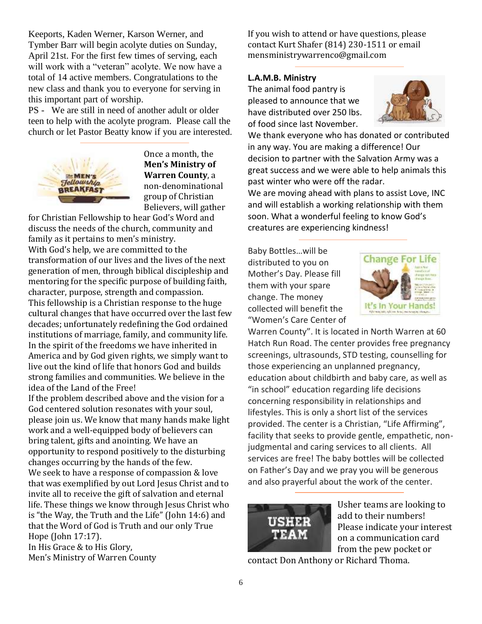Keeports, Kaden Werner, Karson Werner, and Tymber Barr will begin acolyte duties on Sunday, April 21st. For the first few times of serving, each will work with a "veteran" acolyte. We now have a total of 14 active members. Congratulations to the new class and thank you to everyone for serving in this important part of worship.

PS - We are still in need of another adult or older teen to help with the acolyte program. Please call the church or let Pastor Beatty know if you are interested.



Once a month, the **Men's Ministry of Warren County**, a non-denominational group of Christian Believers, will gather

for Christian Fellowship to hear God's Word and discuss the needs of the church, community and family as it pertains to men's ministry. With God's help, we are committed to the transformation of our lives and the lives of the next generation of men, through biblical discipleship and mentoring for the specific purpose of building faith, character, purpose, strength and compassion. This fellowship is a Christian response to the huge cultural changes that have occurred over the last few decades; unfortunately redefining the God ordained institutions of marriage, family, and community life. In the spirit of the freedoms we have inherited in America and by God given rights, we simply want to live out the kind of life that honors God and builds strong families and communities. We believe in the idea of the Land of the Free!

If the problem described above and the vision for a God centered solution resonates with your soul, please join us. We know that many hands make light work and a well-equipped body of believers can bring talent, gifts and anointing. We have an opportunity to respond positively to the disturbing changes occurring by the hands of the few. We seek to have a response of compassion & love that was exemplified by out Lord Jesus Christ and to invite all to receive the gift of salvation and eternal life. These things we know through Jesus Christ who is "the Way, the Truth and the Life" (John 14:6) and that the Word of God is Truth and our only True Hope (John 17:17).

In His Grace & to His Glory, Men's Ministry of Warren County If you wish to attend or have questions, please contact Kurt Shafer (814) 230-1511 or email mensministrywarrenco@gmail.com

#### **L.A.M.B. Ministry**

The animal food pantry is pleased to announce that we have distributed over 250 lbs. of food since last November.



We thank everyone who has donated or contributed in any way. You are making a difference! Our decision to partner with the Salvation Army was a great success and we were able to help animals this past winter who were off the radar.

We are moving ahead with plans to assist Love, INC and will establish a working relationship with them soon. What a wonderful feeling to know God's creatures are experiencing kindness!

Baby Bottles…will be distributed to you on Mother's Day. Please fill them with your spare change. The money collected will benefit the "Women's Care Center of



Warren County". It is located in North Warren at 60 Hatch Run Road. The center provides free pregnancy screenings, ultrasounds, STD testing, counselling for those experiencing an unplanned pregnancy, education about childbirth and baby care, as well as "in school" education regarding life decisions concerning responsibility in relationships and lifestyles. This is only a short list of the services provided. The center is a Christian, "Life Affirming", facility that seeks to provide gentle, empathetic, nonjudgmental and caring services to all clients. All services are free! The baby bottles will be collected on Father's Day and we pray you will be generous and also prayerful about the work of the center.



Usher teams are looking to add to their numbers! Please indicate your interest on a communication card from the pew pocket or

contact Don Anthony or Richard Thoma.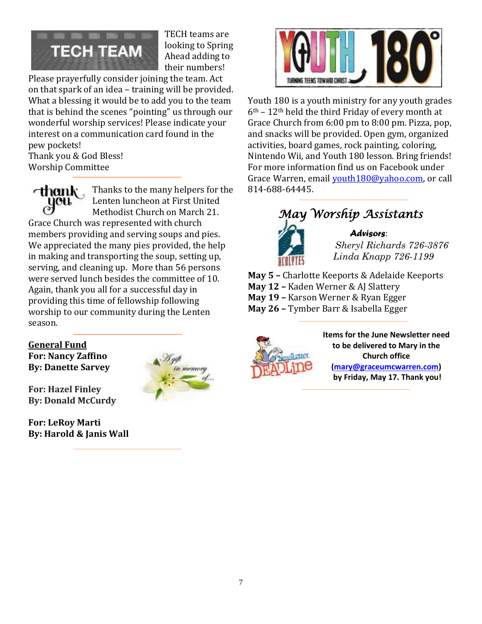

TECH teams are looking to Spring Ahead adding to their numbers!

Please prayerfully consider joining the team. Act on that spark of an idea – training will be provided. What a blessing it would be to add you to the team that is behind the scenes "pointing" us through our wonderful worship services! Please indicate your interest on a communication card found in the pew pockets!

Thank you & God Bless! Worship Committee

cthank . Thanks to the many helpers for the Lenten luncheon at First United Methodist Church on March 21. Grace Church was represented with church

members providing and serving soups and pies. We appreciated the many pies provided, the help in making and transporting the soup, setting up, serving, and cleaning up. More than 56 persons were served lunch besides the committee of 10. Again, thank you all for a successful day in providing this time of fellowship following worship to our community during the Lenten season.

## **General Fund For: Nancy Zaffino By: Danette Sarvey**

**For: Hazel Finley By: Donald McCurdy**

**For: LeRoy Marti By: Harold & Janis Wall**





Youth 180 is a youth ministry for any youth grades  $6<sup>th</sup>$  – 12<sup>th</sup> held the third Friday of every month at Grace Church from 6:00 pm to 8:00 pm. Pizza, pop, and snacks will be provided. Open gym, organized activities, board games, rock painting, coloring, Nintendo Wii, and Youth 180 lesson. Bring friends! For more information find us on Facebook under Grace Warren, email [youth180@yahoo.com,](mailto:youth180@yahoo.com) or call 814-688-64445.

# *May Worship Assistants*



*Advisors*: *Sheryl Richards 726-3876 Linda Knapp 726-1199*

**May 5 –** Charlotte Keeports & Adelaide Keeports **May 12 –** Kaden Werner & AJ Slattery **May 19 –** Karson Werner & Ryan Egger **May 26 –** Tymber Barr & Isabella Egger



**Items for the June Newsletter need to be delivered to Mary in the Church office [\(mary@graceumcwarren.com\)](mailto:mary@graceumcwarren.com) by Friday, May 17. Thank you!**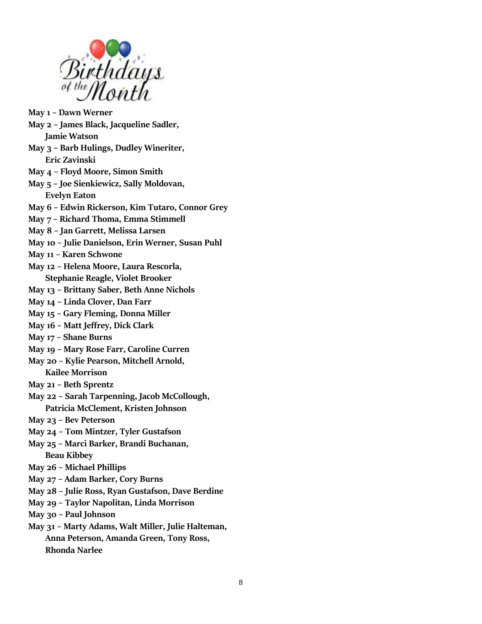

- **May 1 – Dawn Werner**
- **May 2 – James Black, Jacqueline Sadler,**

**Jamie Watson**

- **May 3 – Barb Hulings, Dudley Wineriter, Eric Zavinski**
- **May 4 – Floyd Moore, Simon Smith**
- **May 5 – Joe Sienkiewicz, Sally Moldovan, Evelyn Eaton**
- **May 6 – Edwin Rickerson, Kim Tutaro, Connor Grey**
- **May 7 – Richard Thoma, Emma Stimmell**
- **May 8 – Jan Garrett, Melissa Larsen**
- **May 10 – Julie Danielson, Erin Werner, Susan Puhl**
- **May 11 – Karen Schwone**
- **May 12 – Helena Moore, Laura Rescorla, Stephanie Reagle, Violet Brooker**
- **May 13 – Brittany Saber, Beth Anne Nichols**
- **May 14 – Linda Clover, Dan Farr**
- **May 15 – Gary Fleming, Donna Miller**
- **May 16 – Matt Jeffrey, Dick Clark**
- **May 17 – Shane Burns**
- **May 19 – Mary Rose Farr, Caroline Curren**
- **May 20 – Kylie Pearson, Mitchell Arnold, Kailee Morrison**
- **May 21 – Beth Sprentz**
- **May 22 – Sarah Tarpenning, Jacob McCollough, Patricia McClement, Kristen Johnson**
- **May 23 – Bev Peterson**
- **May 24 – Tom Mintzer, Tyler Gustafson**
- **May 25 – Marci Barker, Brandi Buchanan, Beau Kibbey**
- **May 26 – Michael Phillips**
- **May 27 – Adam Barker, Cory Burns**
- **May 28 – Julie Ross, Ryan Gustafson, Dave Berdine**
- **May 29 – Taylor Napolitan, Linda Morrison**
- **May 30 – Paul Johnson**
- **May 31 – Marty Adams, Walt Miller, Julie Halteman, Anna Peterson, Amanda Green, Tony Ross, Rhonda Narlee**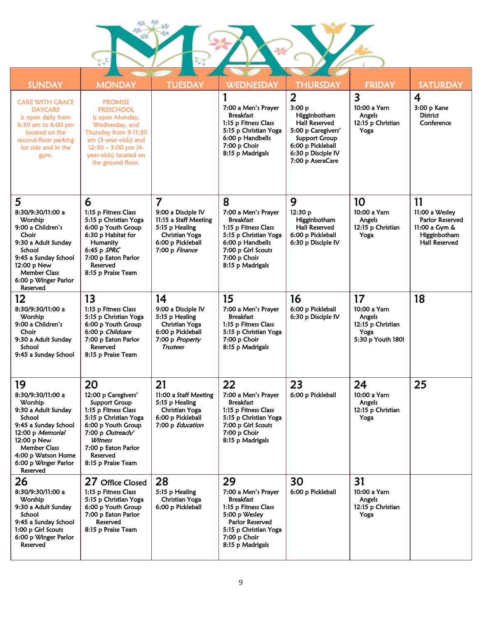L I

| <b>SUNDAY</b>                                                                                                                                                                                                   | <b>MONDAY</b>                                                                                                                                                                                                    | <b>TUESDAY</b>                                                                                                                           | <b>WEDNESDAY</b>                                                                                                                                                            | <b>THURSDAY</b>                                                                                                                                                        | <b>FRIDAY</b>                                                                  | <b>SATURDAY</b>                                                                                  |
|-----------------------------------------------------------------------------------------------------------------------------------------------------------------------------------------------------------------|------------------------------------------------------------------------------------------------------------------------------------------------------------------------------------------------------------------|------------------------------------------------------------------------------------------------------------------------------------------|-----------------------------------------------------------------------------------------------------------------------------------------------------------------------------|------------------------------------------------------------------------------------------------------------------------------------------------------------------------|--------------------------------------------------------------------------------|--------------------------------------------------------------------------------------------------|
| <b>CARE WITH GRACE</b><br><b>DAYCARE</b><br>is open daily from<br>6:30 am to 6:00 pm<br>located on the<br>second-floor parking<br>lot side and in the<br>gym.                                                   | <b>PROMISE</b><br><b>PRESCHOOL</b><br>is open Monday,<br>Wednesday, and<br>Thursday from 9-11:30<br>am (3-year-olds) and<br>$12:30 - 3:00$ pm (4-<br>year-olds) located on<br>the ground floor.                  |                                                                                                                                          | 7:00 a Men's Prayer<br><b>Breakfast</b><br>1:15 p Fitness Class<br>5:15 p Christian Yoga<br>6:00 p Handbells<br>7:00 p Choir<br>8:15 p Madrigals                            | $\overline{2}$<br>3:00 p<br>Higginbotham<br><b>Hall Reserved</b><br>5:00 p Caregivers'<br>Support Group<br>6:00 p Pickleball<br>6:30 p Disciple IV<br>7:00 p AseraCare | 3<br>10:00 a Yarn<br>Angels<br>12:15 p Christian<br>Yoga                       | $\overline{\mathbf{4}}$<br>3:00 p Kane<br><b>District</b><br>Conference                          |
| 5<br>8:30/9:30/11:00 a<br>Worship<br>9:00 a Children's<br>Choir<br>9:30 a Adult Sunday<br>School<br>9:45 a Sunday School<br>12:00 p New<br><b>Member Class</b><br>6:00 p Winger Parlor<br>Reserved              | 6<br>1:15 p Fitness Class<br>5:15 p Christian Yoga<br>6:00 p Youth Group<br>6:30 p Habitat for<br>Humanity<br>6:45 p $SPRC$<br>7:00 p Eaton Parlor<br>Reserved<br>8:15 p Praise Team                             | $\overline{7}$<br>9:00 a Disciple IV<br>11:15 a Staff Meeting<br>5:15 p Healing<br>Christian Yoga<br>6:00 p Pickleball<br>7:00 p Finance | 8<br>7:00 a Men's Prayer<br><b>Breakfast</b><br>1:15 p Fitness Class<br>5:15 p Christian Yoga<br>6:00 p Handbells<br>7:00 p Girl Scouts<br>7:00 p Choir<br>8:15 p Madrigals | 9<br>12:30 p<br>Higginbotham<br>Hall Reserved<br>6:00 p Pickleball<br>6:30 p Disciple IV                                                                               | 10<br>10:00 a Yarn<br>Angels<br>12:15 p Christian<br>Yoga                      | 11<br>11:00 a Wesley<br>Parlor Reserved<br>11:00 a Gym &<br>Higginbotham<br><b>Hall Reserved</b> |
| 12<br>8:30/9:30/11:00 a<br>Worship<br>9:00 a Children's<br>Choir<br>9:30 a Adult Sunday<br>School<br>9:45 a Sunday School                                                                                       | 13<br>1:15 p Fitness Class<br>5:15 p Christian Yoga<br>6:00 p Youth Group<br>6:00 p Childcare<br>7:00 p Eaton Parlor<br>Reserved<br>8:15 p Praise Team                                                           | 14<br>9:00 a Disciple IV<br>5:15 p Healing<br><b>Christian Yoga</b><br>6:00 p Pickleball<br>7:00 p Property<br><b>Trustees</b>           | 15<br>7:00 a Men's Prayer<br><b>Breakfast</b><br>1:15 p Fitness Class<br>5:15 p Christian Yoga<br>7:00 p Choir<br>8:15 p Madrigals                                          | 16<br>6:00 p Pickleball<br>6:30 p Disciple IV                                                                                                                          | 17<br>10:00 a Yarn<br>Angels<br>12:15 p Christian<br>Yoga<br>5:30 p Youth 180! | 18                                                                                               |
| 19<br>8:30/9:30/11:00 a<br>Worship<br>9:30 a Adult Sunday<br>School<br>9:45 a Sunday School<br>12:00 p Memorial<br>12:00 p New<br><b>Member Class</b><br>4:00 p Watson Home<br>6:00 p Winger Parlor<br>Reserved | 20<br>12:00 p Caregivers'<br><b>Support Group</b><br>1:15 p Fitness Class<br>5:15 p Christian Yoga<br>6:00 p Youth Group<br>7:00 p Outreach/<br>Witness<br>7:00 p Eaton Parlor<br>Reserved<br>8:15 p Praise Team | 21<br>11:00 a Staff Meeting<br>5:15 p Healing<br>Christian Yoga<br>6:00 p Pickleball<br>7:00 p Education                                 | 22<br>7:00 a Men's Prayer<br><b>Breakfast</b><br>1:15 p Fitness Class<br>5:15 p Christian Yoga<br>7:00 p Girl Scouts<br>7:00 p Choir<br>8:15 p Madrigals                    | 23<br>6:00 p Pickleball                                                                                                                                                | 24<br>10:00 a Yarn<br>Angels<br>12:15 p Christian<br>Yoga                      | 25                                                                                               |
| 26<br>8:30/9:30/11:00 a<br>Worship<br>9:30 a Adult Sunday<br>School<br>9:45 a Sunday School<br>1:00 p Girl Scouts<br>6:00 p Winger Parlor<br>Reserved                                                           | 27 Office Closed<br>1:15 p Fitness Class<br>5:15 p Christian Yoga<br>6:00 p Youth Group<br>7:00 p Eaton Parlor<br>Reserved<br>8:15 p Praise Team                                                                 | 28<br>5:15 p Healing<br>Christian Yoga<br>6:00 p Pickleball                                                                              | 29<br>7:00 a Men's Prayer<br><b>Breakfast</b><br>1:15 p Fitness Class<br>5:00 p Wesley<br>Parlor Reserved<br>5:15 p Christian Yoga<br>7:00 p Choir<br>8:15 p Madrigals      | 30<br>6:00 p Pickleball                                                                                                                                                | 31<br>10:00 a Yarn<br>Angels<br>12:15 p Christian<br>Yoga                      |                                                                                                  |